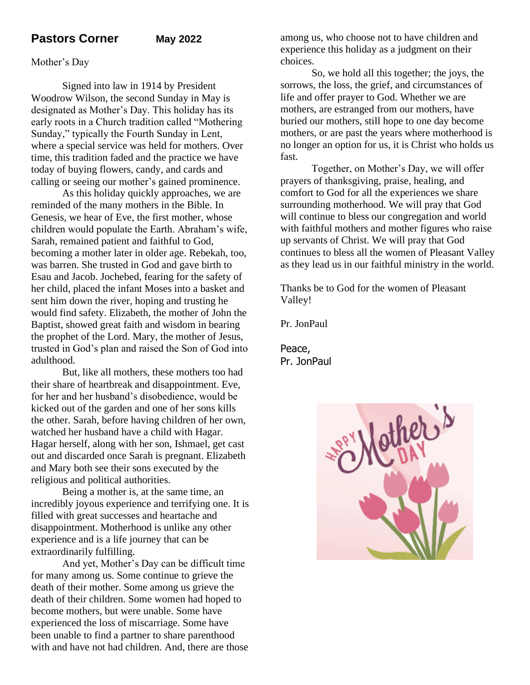# **Pastors Corner May 2022**

### Mother's Day

Signed into law in 1914 by President Woodrow Wilson, the second Sunday in May is designated as Mother's Day. This holiday has its early roots in a Church tradition called "Mothering Sunday," typically the Fourth Sunday in Lent, where a special service was held for mothers. Over time, this tradition faded and the practice we have today of buying flowers, candy, and cards and calling or seeing our mother's gained prominence.

As this holiday quickly approaches, we are reminded of the many mothers in the Bible. In Genesis, we hear of Eve, the first mother, whose children would populate the Earth. Abraham's wife, Sarah, remained patient and faithful to God, becoming a mother later in older age. Rebekah, too, was barren. She trusted in God and gave birth to Esau and Jacob. Jochebed, fearing for the safety of her child, placed the infant Moses into a basket and sent him down the river, hoping and trusting he would find safety. Elizabeth, the mother of John the Baptist, showed great faith and wisdom in bearing the prophet of the Lord. Mary, the mother of Jesus, trusted in God's plan and raised the Son of God into adulthood.

But, like all mothers, these mothers too had their share of heartbreak and disappointment. Eve, for her and her husband's disobedience, would be kicked out of the garden and one of her sons kills the other. Sarah, before having children of her own, watched her husband have a child with Hagar. Hagar herself, along with her son, Ishmael, get cast out and discarded once Sarah is pregnant. Elizabeth and Mary both see their sons executed by the religious and political authorities.

Being a mother is, at the same time, an incredibly joyous experience and terrifying one. It is filled with great successes and heartache and disappointment. Motherhood is unlike any other experience and is a life journey that can be extraordinarily fulfilling.

And yet, Mother's Day can be difficult time for many among us. Some continue to grieve the death of their mother. Some among us grieve the death of their children. Some women had hoped to become mothers, but were unable. Some have experienced the loss of miscarriage. Some have been unable to find a partner to share parenthood with and have not had children. And, there are those among us, who choose not to have children and experience this holiday as a judgment on their choices.

So, we hold all this together; the joys, the sorrows, the loss, the grief, and circumstances of life and offer prayer to God. Whether we are mothers, are estranged from our mothers, have buried our mothers, still hope to one day become mothers, or are past the years where motherhood is no longer an option for us, it is Christ who holds us fast.

Together, on Mother's Day, we will offer prayers of thanksgiving, praise, healing, and comfort to God for all the experiences we share surrounding motherhood. We will pray that God will continue to bless our congregation and world with faithful mothers and mother figures who raise up servants of Christ. We will pray that God continues to bless all the women of Pleasant Valley as they lead us in our faithful ministry in the world.

Thanks be to God for the women of Pleasant Valley!

Pr. JonPaul

Peace, Pr. JonPaul

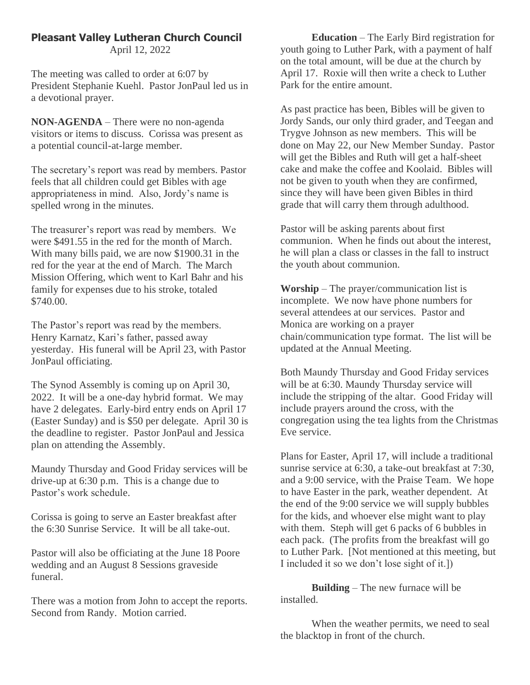# **Pleasant Valley Lutheran Church Council**

April 12, 2022

The meeting was called to order at 6:07 by President Stephanie Kuehl. Pastor JonPaul led us in a devotional prayer.

**NON-AGENDA** – There were no non-agenda visitors or items to discuss. Corissa was present as a potential council-at-large member.

The secretary's report was read by members. Pastor feels that all children could get Bibles with age appropriateness in mind. Also, Jordy's name is spelled wrong in the minutes.

The treasurer's report was read by members. We were \$491.55 in the red for the month of March. With many bills paid, we are now \$1900.31 in the red for the year at the end of March. The March Mission Offering, which went to Karl Bahr and his family for expenses due to his stroke, totaled \$740.00.

The Pastor's report was read by the members. Henry Karnatz, Kari's father, passed away yesterday. His funeral will be April 23, with Pastor JonPaul officiating.

The Synod Assembly is coming up on April 30, 2022. It will be a one-day hybrid format. We may have 2 delegates. Early-bird entry ends on April 17 (Easter Sunday) and is \$50 per delegate. April 30 is the deadline to register. Pastor JonPaul and Jessica plan on attending the Assembly.

Maundy Thursday and Good Friday services will be drive-up at 6:30 p.m. This is a change due to Pastor's work schedule.

Corissa is going to serve an Easter breakfast after the 6:30 Sunrise Service. It will be all take-out.

Pastor will also be officiating at the June 18 Poore wedding and an August 8 Sessions graveside funeral.

There was a motion from John to accept the reports. Second from Randy. Motion carried.

**Education** – The Early Bird registration for youth going to Luther Park, with a payment of half on the total amount, will be due at the church by April 17. Roxie will then write a check to Luther Park for the entire amount.

As past practice has been, Bibles will be given to Jordy Sands, our only third grader, and Teegan and Trygve Johnson as new members. This will be done on May 22, our New Member Sunday. Pastor will get the Bibles and Ruth will get a half-sheet cake and make the coffee and Koolaid. Bibles will not be given to youth when they are confirmed, since they will have been given Bibles in third grade that will carry them through adulthood.

Pastor will be asking parents about first communion. When he finds out about the interest, he will plan a class or classes in the fall to instruct the youth about communion.

**Worship** – The prayer/communication list is incomplete. We now have phone numbers for several attendees at our services. Pastor and Monica are working on a prayer chain/communication type format. The list will be updated at the Annual Meeting.

Both Maundy Thursday and Good Friday services will be at 6:30. Maundy Thursday service will include the stripping of the altar. Good Friday will include prayers around the cross, with the congregation using the tea lights from the Christmas Eve service.

Plans for Easter, April 17, will include a traditional sunrise service at 6:30, a take-out breakfast at 7:30, and a 9:00 service, with the Praise Team. We hope to have Easter in the park, weather dependent. At the end of the 9:00 service we will supply bubbles for the kids, and whoever else might want to play with them. Steph will get 6 packs of 6 bubbles in each pack. (The profits from the breakfast will go to Luther Park. [Not mentioned at this meeting, but I included it so we don't lose sight of it.])

**Building** – The new furnace will be installed.

When the weather permits, we need to seal the blacktop in front of the church.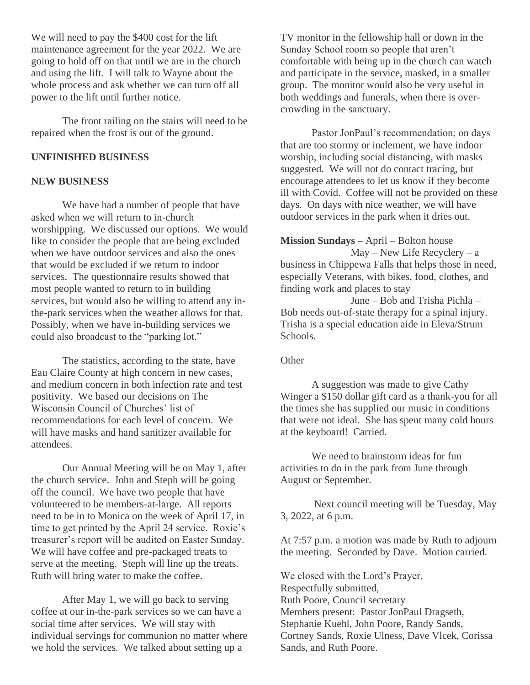We will need to pay the \$400 cost for the lift maintenance agreement for the year 2022. We are going to hold off on that until we are in the church and using the lift. I will talk to Wayne about the whole process and ask whether we can turn off all power to the lift until further notice.

The front railing on the stairs will need to be repaired when the frost is out of the ground.

#### **UNFINISHED BUSINESS**

#### **NEW BUSINESS**

We have had a number of people that have asked when we will return to in-church worshipping. We discussed our options. We would like to consider the people that are being excluded when we have outdoor services and also the ones that would be excluded if we return to indoor services. The questionnaire results showed that most people wanted to return to in building services, but would also be willing to attend any inthe-park services when the weather allows for that. Possibly, when we have in-building services we could also broadcast to the "parking lot."

The statistics, according to the state, have Eau Claire County at high concern in new cases, and medium concern in both infection rate and test positivity. We based our decisions on The Wisconsin Council of Churches' list of recommendations for each level of concern. We will have masks and hand sanitizer available for attendees.

Our Annual Meeting will be on May 1, after the church service. John and Steph will be going off the council. We have two people that have volunteered to be members-at-large. All reports need to be in to Monica on the week of April 17, in time to get printed by the April 24 service. Roxie's treasurer's report will be audited on Easter Sunday. We will have coffee and pre-packaged treats to serve at the meeting. Steph will line up the treats. Ruth will bring water to make the coffee.

After May 1, we will go back to serving coffee at our in-the-park services so we can have a social time after services. We will stay with individual servings for communion no matter where we hold the services. We talked about setting up a

TV monitor in the fellowship hall or down in the Sunday School room so people that aren't comfortable with being up in the church can watch and participate in the service, masked, in a smaller group. The monitor would also be very useful in both weddings and funerals, when there is overcrowding in the sanctuary.

Pastor JonPaul's recommendation; on days that are too stormy or inclement, we have indoor worship, including social distancing, with masks suggested. We will not do contact tracing, but encourage attendees to let us know if they become ill with Covid. Coffee will not be provided on these days. On days with nice weather, we will have outdoor services in the park when it dries out.

**Mission Sundays** – April – Bolton house May – New Life Recyclery – a business in Chippewa Falls that helps those in need, especially Veterans, with bikes, food, clothes, and finding work and places to stay

 June – Bob and Trisha Pichla – Bob needs out-of-state therapy for a spinal injury. Trisha is a special education aide in Eleva/Strum Schools.

**Other** 

A suggestion was made to give Cathy Winger a \$150 dollar gift card as a thank-you for all the times she has supplied our music in conditions that were not ideal. She has spent many cold hours at the keyboard! Carried.

We need to brainstorm ideas for fun activities to do in the park from June through August or September.

Next council meeting will be Tuesday, May 3, 2022, at 6 p.m.

At 7:57 p.m. a motion was made by Ruth to adjourn the meeting. Seconded by Dave. Motion carried.

We closed with the Lord's Prayer. Respectfully submitted, Ruth Poore, Council secretary Members present: Pastor JonPaul Dragseth, Stephanie Kuehl, John Poore, Randy Sands, Cortney Sands, Roxie Ulness, Dave Vlcek, Corissa Sands, and Ruth Poore.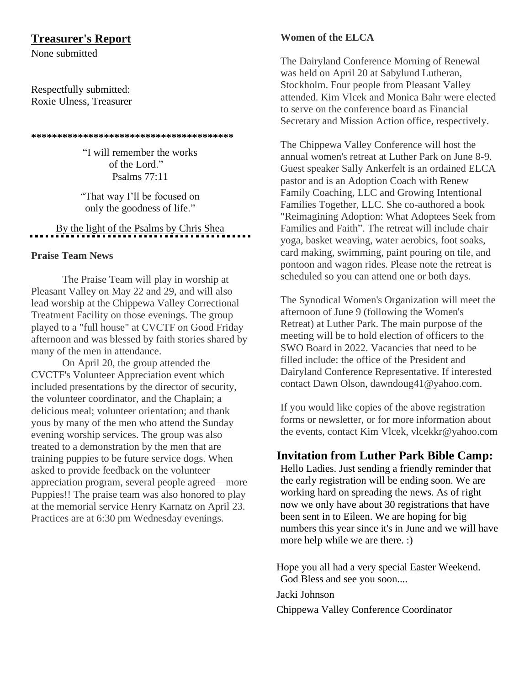# **Treasurer's Report**

None submitted

Respectfully submitted: Roxie Ulness, Treasurer

#### **\*\*\*\*\*\*\*\*\*\*\*\*\*\*\*\*\*\*\*\*\*\*\*\*\*\*\*\*\*\*\*\*\*\*\*\*\*\*\***

"I will remember the works of the Lord." Psalms 77:11

"That way I'll be focused on only the goodness of life."

# By the light of the Psalms by Chris Shea

### **Praise Team News**

The Praise Team will play in worship at Pleasant Valley on May 22 and 29, and will also lead worship at the Chippewa Valley Correctional Treatment Facility on those evenings. The group played to a "full house" at CVCTF on Good Friday afternoon and was blessed by faith stories shared by many of the men in attendance.

On April 20, the group attended the CVCTF's Volunteer Appreciation event which included presentations by the director of security, the volunteer coordinator, and the Chaplain; a delicious meal; volunteer orientation; and thank yous by many of the men who attend the Sunday evening worship services. The group was also treated to a demonstration by the men that are training puppies to be future service dogs. When asked to provide feedback on the volunteer appreciation program, several people agreed—more Puppies!! The praise team was also honored to play at the memorial service Henry Karnatz on April 23. Practices are at 6:30 pm Wednesday evenings.

## **Women of the ELCA**

The Dairyland Conference Morning of Renewal was held on April 20 at Sabylund Lutheran, Stockholm. Four people from Pleasant Valley attended. Kim Vlcek and Monica Bahr were elected to serve on the conference board as Financial Secretary and Mission Action office, respectively.

The Chippewa Valley Conference will host the annual women's retreat at Luther Park on June 8-9. Guest speaker Sally Ankerfelt is an ordained ELCA pastor and is an Adoption Coach with Renew Family Coaching, LLC and Growing Intentional Families Together, LLC. She co-authored a book "Reimagining Adoption: What Adoptees Seek from Families and Faith". The retreat will include chair yoga, basket weaving, water aerobics, foot soaks, card making, swimming, paint pouring on tile, and pontoon and wagon rides. Please note the retreat is scheduled so you can attend one or both days.

The Synodical Women's Organization will meet the afternoon of June 9 (following the Women's Retreat) at Luther Park. The main purpose of the meeting will be to hold election of officers to the SWO Board in 2022. Vacancies that need to be filled include: the office of the President and Dairyland Conference Representative. If interested contact Dawn Olson, dawndoug41@yahoo.com.

If you would like copies of the above registration forms or newsletter, or for more information about the events, contact Kim Vlcek, vlcekkr@yahoo.com

# **Invitation from Luther Park Bible Camp:**

Hello Ladies. Just sending a friendly reminder that the early registration will be ending soon. We are working hard on spreading the news. As of right now we only have about 30 registrations that have been sent in to Eileen. We are hoping for big numbers this year since it's in June and we will have more help while we are there. :)

Hope you all had a very special Easter Weekend. God Bless and see you soon....

Jacki Johnson

Chippewa Valley Conference Coordinator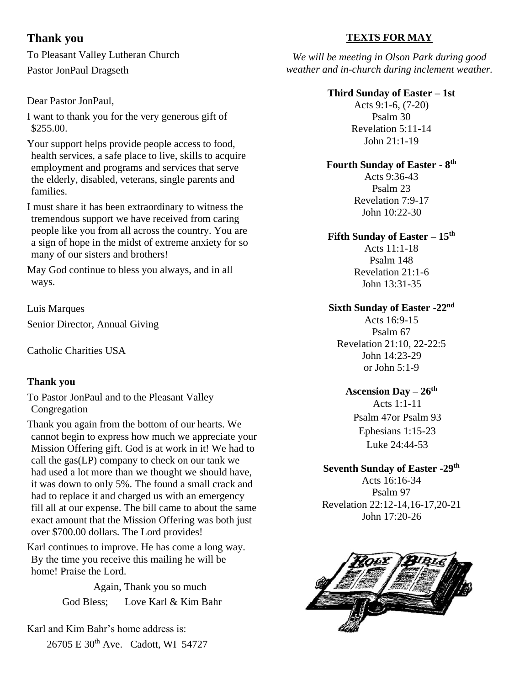# **Thank you**

To Pleasant Valley Lutheran Church Pastor JonPaul Dragseth

# Dear Pastor JonPaul,

I want to thank you for the very generous gift of \$255.00.

Your support helps provide people access to food, health services, a safe place to live, skills to acquire employment and programs and services that serve the elderly, disabled, veterans, single parents and families.

I must share it has been extraordinary to witness the tremendous support we have received from caring people like you from all across the country. You are a sign of hope in the midst of extreme anxiety for so many of our sisters and brothers!

May God continue to bless you always, and in all ways.

Luis Marques Senior Director, Annual Giving

Catholic Charities USA

# **Thank you**

To Pastor JonPaul and to the Pleasant Valley Congregation

Thank you again from the bottom of our hearts. We cannot begin to express how much we appreciate your Mission Offering gift. God is at work in it! We had to call the gas(LP) company to check on our tank we had used a lot more than we thought we should have, it was down to only 5%. The found a small crack and had to replace it and charged us with an emergency fill all at our expense. The bill came to about the same exact amount that the Mission Offering was both just over \$700.00 dollars. The Lord provides!

Karl continues to improve. He has come a long way. By the time you receive this mailing he will be home! Praise the Lord.

> Again, Thank you so much God Bless; Love Karl & Kim Bahr

Karl and Kim Bahr's home address is: 26705 E 30<sup>th</sup> Ave. Cadott, WI 54727

# **TEXTS FOR MAY**

*We will be meeting in Olson Park during good weather and in-church during inclement weather.*

# **Third Sunday of Easter – 1st**

Acts 9:1-6, (7-20) Psalm 30 Revelation 5:11-14 John 21:1-19

# **Fourth Sunday of Easter - 8 th**

Acts 9:36-43 Psalm 23 Revelation 7:9-17 John 10:22-30

# **Fifth Sunday of Easter – 15 th**

Acts 11:1-18 Psalm 148 Revelation 21:1-6 John 13:31-35

# **Sixth Sunday of Easter -22nd**

Acts 16:9-15 Psalm 67 Revelation 21:10, 22-22:5 John 14:23-29 or John 5:1-9

# **Ascension Day – 26th**

Acts 1:1-11 Psalm 47or Psalm 93 Ephesians 1:15-23 Luke 24:44-53

# **Seventh Sunday of Easter -29th**

Acts 16:16-34 Psalm 97 Revelation 22:12-14,16-17,20-21 John 17:20-26

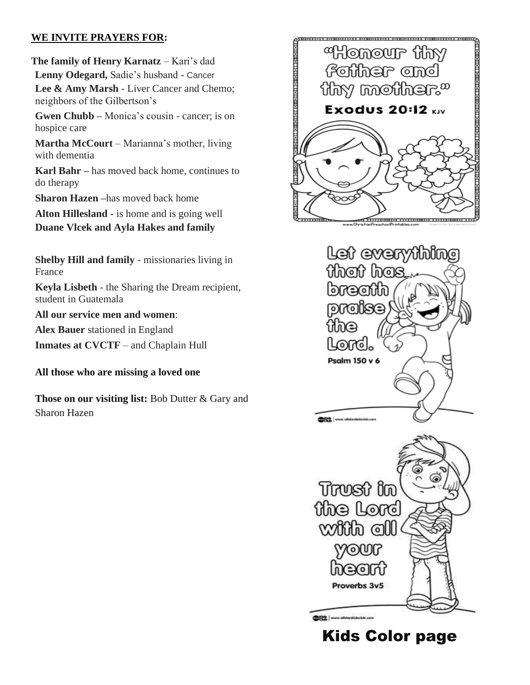# **WE INVITE PRAYERS FOR:**

**The family of Henry Karnatz** – Kari's dad **Lenny Odegard,** Sadie's husband - Cancer **Lee & Amy Marsh** - Liver Cancer and Chemo; neighbors of the Gilbertson's **Gwen Chubb –** Monica's cousin - cancer; is on hospice care

**Martha McCourt** – Marianna's mother, living with dementia

**Karl Bahr –** has moved back home, continues to do therapy

**Sharon Hazen –**has moved back home

**Alton Hillesland -** is home and is going well

**Duane Vlcek and Ayla Hakes and family**

**Shelby Hill and family** - missionaries living in France

**Keyla Lisbeth** - the Sharing the Dream recipient, student in Guatemala

**All our service men and women**:

**Alex Bauer** stationed in England

**Inmates at CVCTF** – and Chaplain Hull

**All those who are missing a loved one**

**Those on our visiting list:** Bob Dutter & Gary and Sharon Hazen





Kids Color page